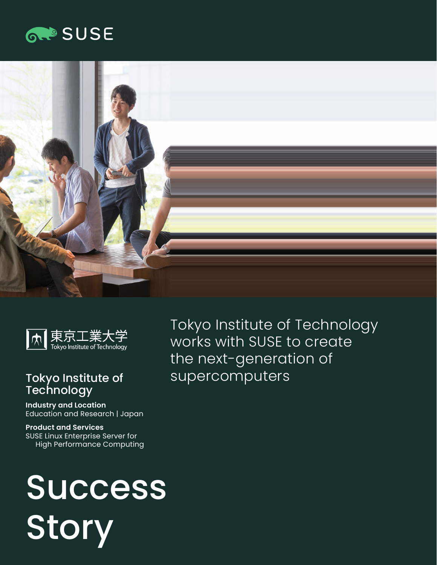## **GROSUSE**





## Tokyo Institute of **Technology**

**Industry and Location**  Education and Research | Japan

**Product and Services**  SUSE Linux Enterprise Server for High Performance Computing Tokyo Institute of Technology works with SUSE to create the next-generation of supercomputers

# Success Story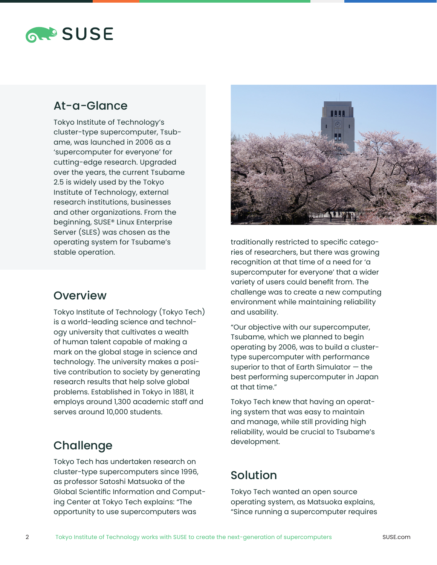## **RAPSUSE**

## At-a-Glance

Tokyo Institute of Technology's cluster-type supercomputer, Tsubame, was launched in 2006 as a 'supercomputer for everyone' for cutting-edge research. Upgraded over the years, the current Tsubame 2.5 is widely used by the Tokyo Institute of Technology, external research institutions, businesses and other organizations. From the beginning, SUSE® Linux Enterprise Server (SLES) was chosen as the operating system for Tsubame's stable operation.

## **Overview**

Tokyo Institute of Technology (Tokyo Tech) is a world-leading science and technology university that cultivates a wealth of human talent capable of making a mark on the global stage in science and technology. The university makes a positive contribution to society by generating research results that help solve global problems. Established in Tokyo in 1881, it employs around 1,300 academic staff and serves around 10,000 students.

## Challenge

Tokyo Tech has undertaken research on cluster-type supercomputers since 1996, as professor Satoshi Matsuoka of the Global Scientific Information and Computing Center at Tokyo Tech explains: "The opportunity to use supercomputers was



traditionally restricted to specific categories of researchers, but there was growing recognition at that time of a need for 'a supercomputer for everyone' that a wider variety of users could benefit from. The challenge was to create a new computing environment while maintaining reliability and usability.

"Our objective with our supercomputer, Tsubame, which we planned to begin operating by 2006, was to build a clustertype supercomputer with performance superior to that of Earth Simulator — the best performing supercomputer in Japan at that time."

Tokyo Tech knew that having an operating system that was easy to maintain and manage, while still providing high reliability, would be crucial to Tsubame's development.

## Solution

Tokyo Tech wanted an open source operating system, as Matsuoka explains, "Since running a supercomputer requires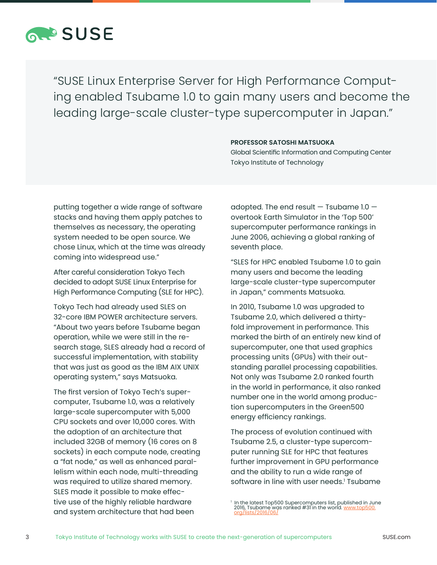

"SUSE Linux Enterprise Server for High Performance Computing enabled Tsubame 1.0 to gain many users and become the leading large-scale cluster-type supercomputer in Japan."

#### **PROFESSOR SATOSHI MATSUOKA**

Global Scientific Information and Computing Center Tokyo Institute of Technology

putting together a wide range of software stacks and having them apply patches to themselves as necessary, the operating system needed to be open source. We chose Linux, which at the time was already coming into widespread use."

After careful consideration Tokyo Tech decided to adopt SUSE Linux Enterprise for High Performance Computing (SLE for HPC).

Tokyo Tech had already used SLES on 32-core IBM POWER architecture servers. "About two years before Tsubame began operation, while we were still in the research stage, SLES already had a record of successful implementation, with stability that was just as good as the IBM AIX UNIX operating system," says Matsuoka.

The first version of Tokyo Tech's supercomputer, Tsubame 1.0, was a relatively large-scale supercomputer with 5,000 CPU sockets and over 10,000 cores. With the adoption of an architecture that included 32GB of memory (16 cores on 8 sockets) in each compute node, creating a "fat node," as well as enhanced parallelism within each node, multi-threading was required to utilize shared memory. SLES made it possible to make effective use of the highly reliable hardware and system architecture that had been

adopted. The end result  $-$  Tsubame 1.0  $$ overtook Earth Simulator in the 'Top 500' supercomputer performance rankings in June 2006, achieving a global ranking of seventh place.

"SLES for HPC enabled Tsubame 1.0 to gain many users and become the leading large-scale cluster-type supercomputer in Japan," comments Matsuoka.

In 2010, Tsubame 1.0 was upgraded to Tsubame 2.0, which delivered a thirtyfold improvement in performance. This marked the birth of an entirely new kind of supercomputer, one that used graphics processing units (GPUs) with their outstanding parallel processing capabilities. Not only was Tsubame 2.0 ranked fourth in the world in performance, it also ranked number one in the world among production supercomputers in the Green500 energy efficiency rankings.

The process of evolution continued with Tsubame 2.5, a cluster-type supercomputer running SLE for HPC that features further improvement in GPU performance and the ability to run a wide range of software in line with user needs.<sup>1</sup> Tsubame

<sup>&#</sup>x27; In the latest Top500 Supercomputers list, published in June<br>2016, Tsubame was ranked #31 in the world. <u>[www.top500.](http://www.top500.org/lists/2016/06/)</u> [org/lists/2016/06/](http://www.top500.org/lists/2016/06/)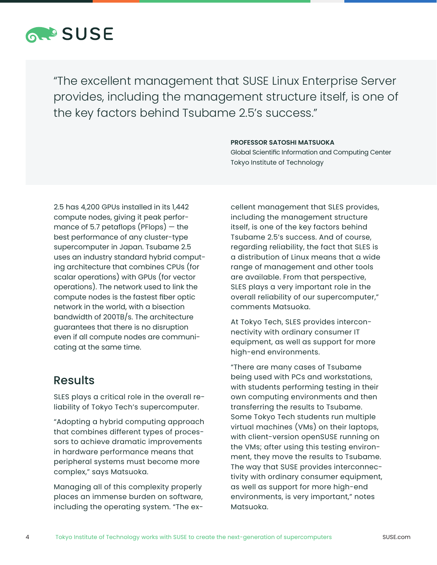

"The excellent management that SUSE Linux Enterprise Server provides, including the management structure itself, is one of the key factors behind Tsubame 2.5's success."

#### **PROFESSOR SATOSHI MATSUOKA**

Global Scientific Information and Computing Center Tokyo Institute of Technology

2.5 has 4,200 GPUs installed in its 1,442 compute nodes, giving it peak performance of 5.7 petaflops (PFlops)  $-$  the best performance of any cluster-type supercomputer in Japan. Tsubame 2.5 uses an industry standard hybrid computing architecture that combines CPUs (for scalar operations) with GPUs (for vector operations). The network used to link the compute nodes is the fastest fiber optic network in the world, with a bisection bandwidth of 200TB/s. The architecture guarantees that there is no disruption even if all compute nodes are communicating at the same time.

### Results

SLES plays a critical role in the overall reliability of Tokyo Tech's supercomputer.

"Adopting a hybrid computing approach that combines different types of processors to achieve dramatic improvements in hardware performance means that peripheral systems must become more complex," says Matsuoka.

Managing all of this complexity properly places an immense burden on software, including the operating system. "The excellent management that SLES provides, including the management structure itself, is one of the key factors behind Tsubame 2.5's success. And of course, regarding reliability, the fact that SLES is a distribution of Linux means that a wide range of management and other tools are available. From that perspective, SLES plays a very important role in the overall reliability of our supercomputer," comments Matsuoka.

At Tokyo Tech, SLES provides interconnectivity with ordinary consumer IT equipment, as well as support for more high-end environments.

"There are many cases of Tsubame being used with PCs and workstations, with students performing testing in their own computing environments and then transferring the results to Tsubame. Some Tokyo Tech students run multiple virtual machines (VMs) on their laptops, with client-version openSUSE running on the VMs; after using this testing environment, they move the results to Tsubame. The way that SUSE provides interconnectivity with ordinary consumer equipment, as well as support for more high-end environments, is very important," notes Matsuoka.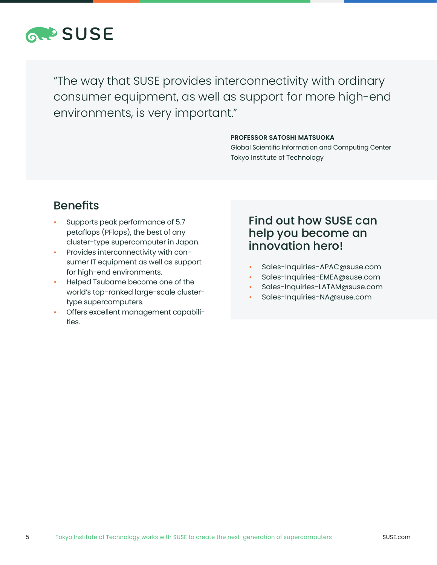

"The way that SUSE provides interconnectivity with ordinary consumer equipment, as well as support for more high-end environments, is very important."

#### **PROFESSOR SATOSHI MATSUOKA**

Global Scientific Information and Computing Center Tokyo Institute of Technology

## Benefits

- Supports peak performance of 5.7 petaflops (PFlops), the best of any cluster-type supercomputer in Japan.
- Provides interconnectivity with consumer IT equipment as well as support for high-end environments.
- Helped Tsubame become one of the world's top-ranked large-scale clustertype supercomputers.
- Offers excellent management capabilities.

## Find out how SUSE can help you become an innovation hero!

- Sales-Inquiries-APAC@suse.com
- Sales-Inquiries-EMEA@suse.com
- Sales-Inquiries-LATAM@suse.com
- Sales-Inquiries-NA@suse.com